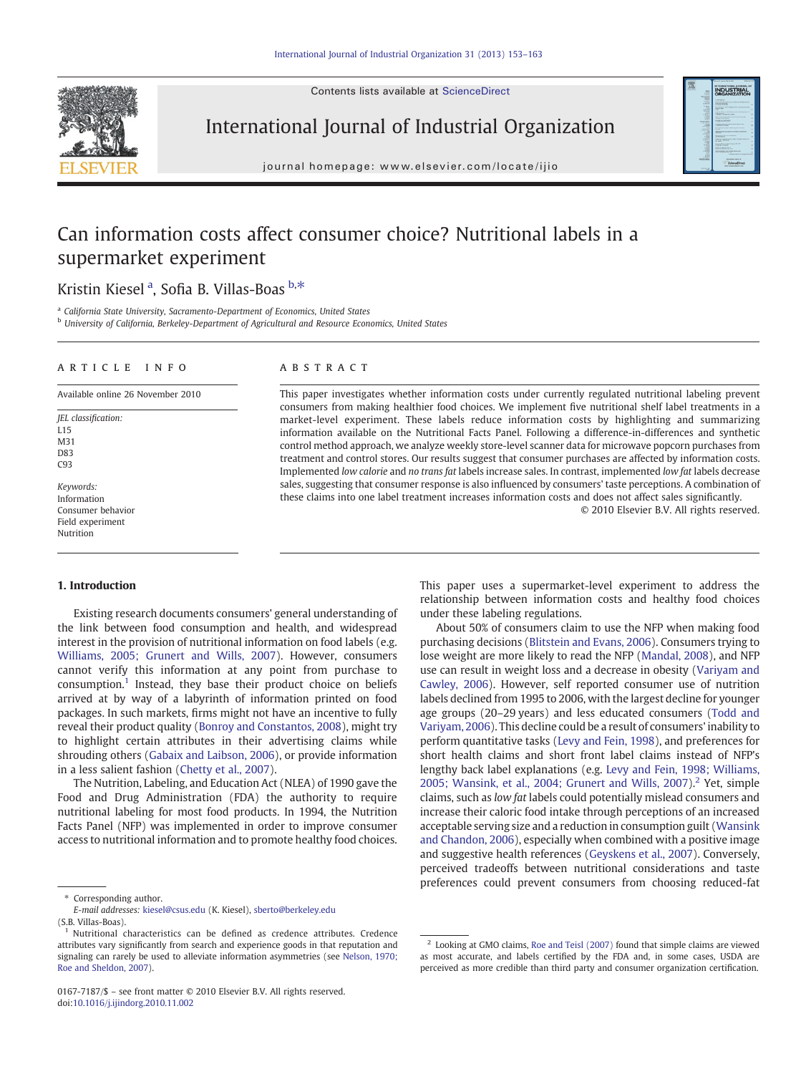Contents lists available at ScienceDirect



International Journal of Industrial Organization

journal homepage: www.elsevier.com/locate/ijio

# Can information costs affect consumer choice? Nutritional labels in a supermarket experiment

## Kristin Kiesel <sup>a</sup>, Sofia B. Villas-Boas <sup>b,\*</sup>

<sup>a</sup> California State University, Sacramento-Department of Economics, United States

<sup>b</sup> University of California, Berkeley-Department of Agricultural and Resource Economics, United States

#### article info abstract

Available online 26 November 2010

JEL classification: L15 M31 D83 C<sub>03</sub>

Keywords: Information Consumer behavior Field experiment Nutrition

#### 1. Introduction

Existing research documents consumers' general understanding of the link between food consumption and health, and widespread interest in the provision of nutritional information on food labels (e.g. [Williams, 2005; Grunert and Wills, 2007\)](#page-10-0). However, consumers cannot verify this information at any point from purchase to consumption.<sup>1</sup> Instead, they base their product choice on beliefs arrived at by way of a labyrinth of information printed on food packages. In such markets, firms might not have an incentive to fully reveal their product quality ([Bonroy and Constantos, 2008](#page-10-0)), might try to highlight certain attributes in their advertising claims while shrouding others [\(Gabaix and Laibson, 2006\)](#page-10-0), or provide information in a less salient fashion [\(Chetty et al., 2007](#page-10-0)).

The Nutrition, Labeling, and Education Act (NLEA) of 1990 gave the Food and Drug Administration (FDA) the authority to require nutritional labeling for most food products. In 1994, the Nutrition Facts Panel (NFP) was implemented in order to improve consumer access to nutritional information and to promote healthy food choices.

Corresponding author.

This paper investigates whether information costs under currently regulated nutritional labeling prevent consumers from making healthier food choices. We implement five nutritional shelf label treatments in a market-level experiment. These labels reduce information costs by highlighting and summarizing information available on the Nutritional Facts Panel. Following a difference-in-differences and synthetic control method approach, we analyze weekly store-level scanner data for microwave popcorn purchases from treatment and control stores. Our results suggest that consumer purchases are affected by information costs. Implemented low calorie and no trans fat labels increase sales. In contrast, implemented low fat labels decrease sales, suggesting that consumer response is also influenced by consumers' taste perceptions. A combination of these claims into one label treatment increases information costs and does not affect sales significantly.

© 2010 Elsevier B.V. All rights reserved.

INDUSTRIAL

This paper uses a supermarket-level experiment to address the relationship between information costs and healthy food choices under these labeling regulations.

About 50% of consumers claim to use the NFP when making food purchasing decisions [\(Blitstein and Evans, 2006](#page-10-0)). Consumers trying to lose weight are more likely to read the NFP [\(Mandal, 2008\)](#page-10-0), and NFP use can result in weight loss and a decrease in obesity [\(Variyam and](#page-10-0) [Cawley, 2006\)](#page-10-0). However, self reported consumer use of nutrition labels declined from 1995 to 2006, with the largest decline for younger age groups (20–29 years) and less educated consumers [\(Todd and](#page-10-0) [Variyam, 2006](#page-10-0)). This decline could be a result of consumers' inability to perform quantitative tasks [\(Levy and Fein, 1998\)](#page-10-0), and preferences for short health claims and short front label claims instead of NFP's lengthy back label explanations (e.g. [Levy and Fein, 1998; Williams,](#page-10-0) [2005; Wansink, et al., 2004; Grunert and Wills, 2007\)](#page-10-0).<sup>2</sup> Yet, simple claims, such as low fat labels could potentially mislead consumers and increase their caloric food intake through perceptions of an increased acceptable serving size and a reduction in consumption guilt [\(Wansink](#page-10-0) [and Chandon, 2006](#page-10-0)), especially when combined with a positive image and suggestive health references ([Geyskens et al., 2007](#page-10-0)). Conversely, perceived tradeoffs between nutritional considerations and taste preferences could prevent consumers from choosing reduced-fat

E-mail addresses: [kiesel@csus.edu](mailto:kiesel@csus.edu) (K. Kiesel), [sberto@berkeley.edu](mailto:sberto@berkeley.edu) (S.B. Villas-Boas).

<sup>&</sup>lt;sup>1</sup> Nutritional characteristics can be defined as credence attributes. Credence attributes vary significantly from search and experience goods in that reputation and signaling can rarely be used to alleviate information asymmetries (see [Nelson, 1970;](#page-10-0) [Roe and Sheldon, 2007\)](#page-10-0).

<sup>0167-7187/\$</sup> – see front matter © 2010 Elsevier B.V. All rights reserved. doi:[10.1016/j.ijindorg.2010.11.002](http://dx.doi.org/10.1016/j.ijindorg.2010.11.002)

 $2$  Looking at GMO claims, [Roe and Teisl \(2007\)](#page-10-0) found that simple claims are viewed as most accurate, and labels certified by the FDA and, in some cases, USDA are perceived as more credible than third party and consumer organization certification.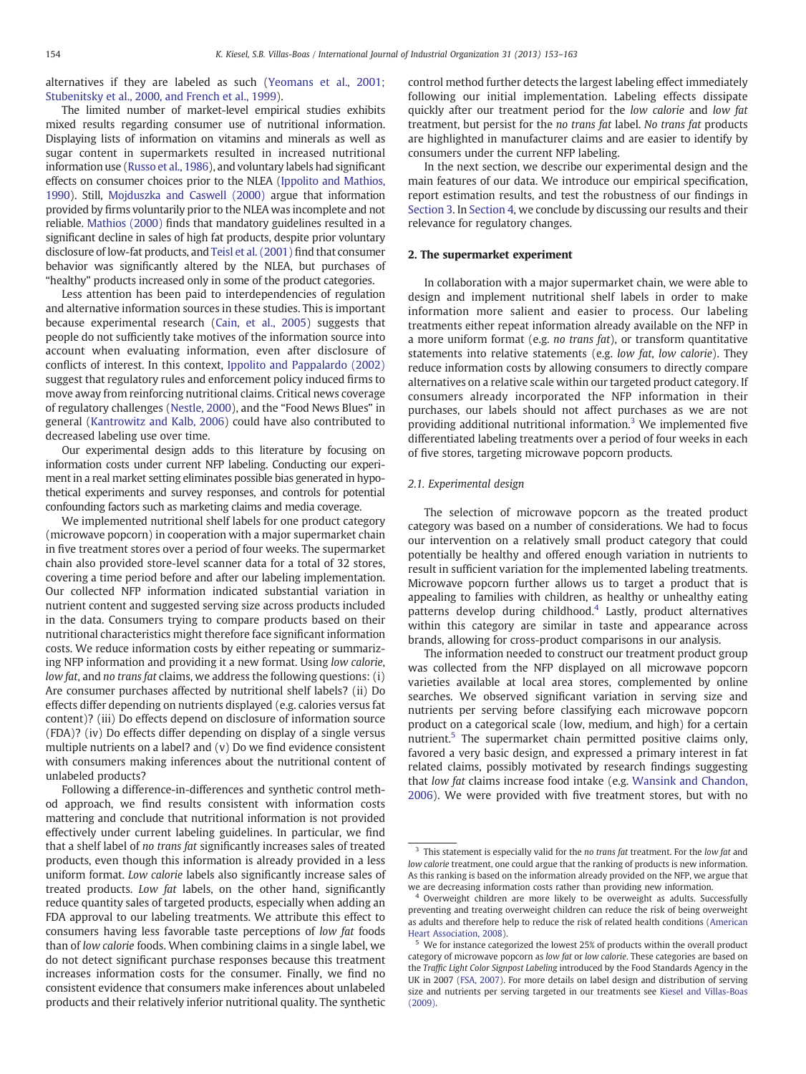alternatives if they are labeled as such [\(Yeomans et al., 2001;](#page-10-0) [Stubenitsky et al., 2000, and French et al., 1999](#page-10-0)).

The limited number of market-level empirical studies exhibits mixed results regarding consumer use of nutritional information. Displaying lists of information on vitamins and minerals as well as sugar content in supermarkets resulted in increased nutritional information use ([Russo et al., 1986](#page-10-0)), and voluntary labels had significant effects on consumer choices prior to the NLEA ([Ippolito and Mathios,](#page-10-0) [1990\)](#page-10-0). Still, [Mojduszka and Caswell \(2000\)](#page-10-0) argue that information provided by firms voluntarily prior to the NLEA was incomplete and not reliable. [Mathios \(2000\)](#page-10-0) finds that mandatory guidelines resulted in a significant decline in sales of high fat products, despite prior voluntary disclosure of low-fat products, and [Teisl et al. \(2001\)](#page-10-0) find that consumer behavior was significantly altered by the NLEA, but purchases of "healthy" products increased only in some of the product categories.

Less attention has been paid to interdependencies of regulation and alternative information sources in these studies. This is important because experimental research [\(Cain, et al., 2005](#page-10-0)) suggests that people do not sufficiently take motives of the information source into account when evaluating information, even after disclosure of conflicts of interest. In this context, [Ippolito and Pappalardo \(2002\)](#page-10-0) suggest that regulatory rules and enforcement policy induced firms to move away from reinforcing nutritional claims. Critical news coverage of regulatory challenges [\(Nestle, 2000\)](#page-10-0), and the "Food News Blues" in general [\(Kantrowitz and Kalb, 2006\)](#page-10-0) could have also contributed to decreased labeling use over time.

Our experimental design adds to this literature by focusing on information costs under current NFP labeling. Conducting our experiment in a real market setting eliminates possible bias generated in hypothetical experiments and survey responses, and controls for potential confounding factors such as marketing claims and media coverage.

We implemented nutritional shelf labels for one product category (microwave popcorn) in cooperation with a major supermarket chain in five treatment stores over a period of four weeks. The supermarket chain also provided store-level scanner data for a total of 32 stores, covering a time period before and after our labeling implementation. Our collected NFP information indicated substantial variation in nutrient content and suggested serving size across products included in the data. Consumers trying to compare products based on their nutritional characteristics might therefore face significant information costs. We reduce information costs by either repeating or summarizing NFP information and providing it a new format. Using low calorie, low fat, and no trans fat claims, we address the following questions: (i) Are consumer purchases affected by nutritional shelf labels? (ii) Do effects differ depending on nutrients displayed (e.g. calories versus fat content)? (iii) Do effects depend on disclosure of information source (FDA)? (iv) Do effects differ depending on display of a single versus multiple nutrients on a label? and (v) Do we find evidence consistent with consumers making inferences about the nutritional content of unlabeled products?

Following a difference-in-differences and synthetic control method approach, we find results consistent with information costs mattering and conclude that nutritional information is not provided effectively under current labeling guidelines. In particular, we find that a shelf label of no trans fat significantly increases sales of treated products, even though this information is already provided in a less uniform format. Low calorie labels also significantly increase sales of treated products. Low fat labels, on the other hand, significantly reduce quantity sales of targeted products, especially when adding an FDA approval to our labeling treatments. We attribute this effect to consumers having less favorable taste perceptions of low fat foods than of low calorie foods. When combining claims in a single label, we do not detect significant purchase responses because this treatment increases information costs for the consumer. Finally, we find no consistent evidence that consumers make inferences about unlabeled products and their relatively inferior nutritional quality. The synthetic

control method further detects the largest labeling effect immediately following our initial implementation. Labeling effects dissipate quickly after our treatment period for the low calorie and low fat treatment, but persist for the no trans fat label. No trans fat products are highlighted in manufacturer claims and are easier to identify by consumers under the current NFP labeling.

In the next section, we describe our experimental design and the main features of our data. We introduce our empirical specification, report estimation results, and test the robustness of our findings in [Section 3](#page-4-0). In [Section 4,](#page-9-0) we conclude by discussing our results and their relevance for regulatory changes.

#### 2. The supermarket experiment

In collaboration with a major supermarket chain, we were able to design and implement nutritional shelf labels in order to make information more salient and easier to process. Our labeling treatments either repeat information already available on the NFP in a more uniform format (e.g. no trans fat), or transform quantitative statements into relative statements (e.g. low fat, low calorie). They reduce information costs by allowing consumers to directly compare alternatives on a relative scale within our targeted product category. If consumers already incorporated the NFP information in their purchases, our labels should not affect purchases as we are not providing additional nutritional information.<sup>3</sup> We implemented five differentiated labeling treatments over a period of four weeks in each of five stores, targeting microwave popcorn products.

#### 2.1. Experimental design

The selection of microwave popcorn as the treated product category was based on a number of considerations. We had to focus our intervention on a relatively small product category that could potentially be healthy and offered enough variation in nutrients to result in sufficient variation for the implemented labeling treatments. Microwave popcorn further allows us to target a product that is appealing to families with children, as healthy or unhealthy eating patterns develop during childhood.<sup>4</sup> Lastly, product alternatives within this category are similar in taste and appearance across brands, allowing for cross-product comparisons in our analysis.

The information needed to construct our treatment product group was collected from the NFP displayed on all microwave popcorn varieties available at local area stores, complemented by online searches. We observed significant variation in serving size and nutrients per serving before classifying each microwave popcorn product on a categorical scale (low, medium, and high) for a certain nutrient.<sup>5</sup> The supermarket chain permitted positive claims only, favored a very basic design, and expressed a primary interest in fat related claims, possibly motivated by research findings suggesting that low fat claims increase food intake (e.g. [Wansink and Chandon,](#page-10-0) [2006\)](#page-10-0). We were provided with five treatment stores, but with no

 $3$  This statement is especially valid for the no trans fat treatment. For the low fat and low calorie treatment, one could argue that the ranking of products is new information. As this ranking is based on the information already provided on the NFP, we argue that we are decreasing information costs rather than providing new information.

<sup>&</sup>lt;sup>4</sup> Overweight children are more likely to be overweight as adults. Successfully preventing and treating overweight children can reduce the risk of being overweight as adults and therefore help to reduce the risk of related health conditions ([American](#page-10-0) [Heart Association, 2008](#page-10-0)).

<sup>&</sup>lt;sup>5</sup> We for instance categorized the lowest 25% of products within the overall product category of microwave popcorn as low fat or low calorie. These categories are based on the Traffic Light Color Signpost Labeling introduced by the Food Standards Agency in the UK in 2007 [\(FSA, 2007](#page-10-0)). For more details on label design and distribution of serving size and nutrients per serving targeted in our treatments see [Kiesel and Villas-Boas](#page-10-0) [\(2009\).](#page-10-0)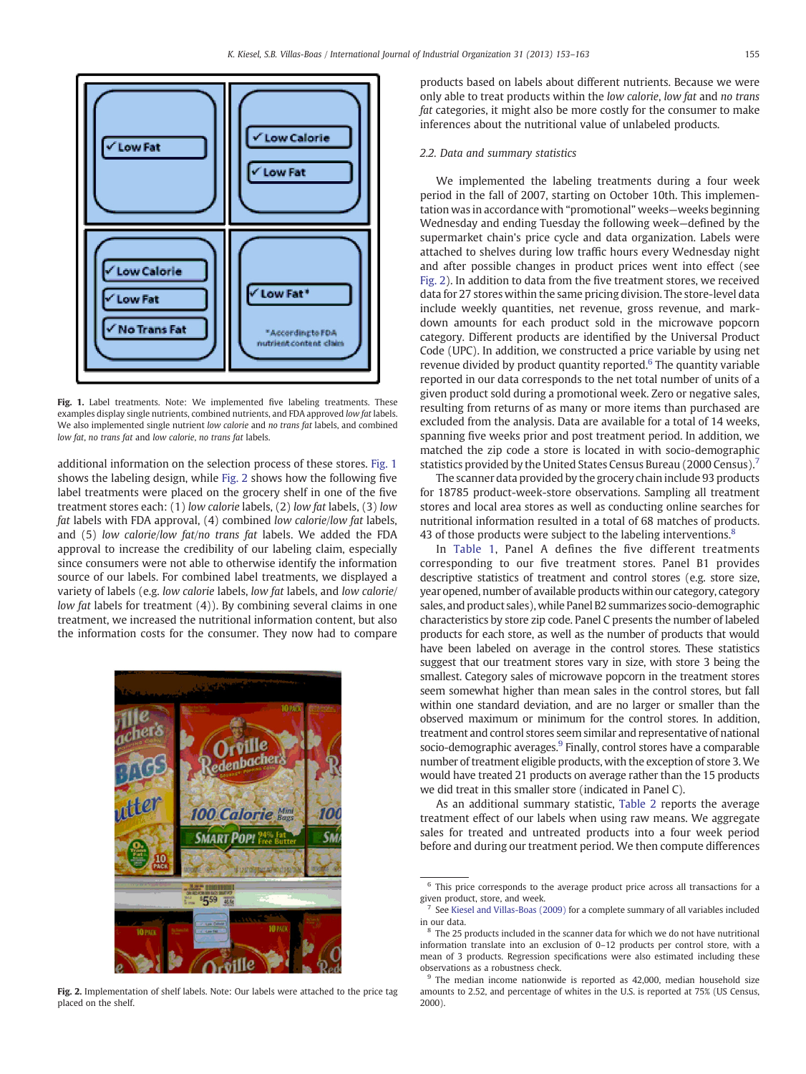

Fig. 1. Label treatments. Note: We implemented five labeling treatments. These examples display single nutrients, combined nutrients, and FDA approved low fat labels. We also implemented single nutrient low calorie and no trans fat labels, and combined low fat, no trans fat and low calorie, no trans fat labels.

additional information on the selection process of these stores. Fig. 1 shows the labeling design, while Fig. 2 shows how the following five label treatments were placed on the grocery shelf in one of the five treatment stores each: (1) low calorie labels, (2) low fat labels, (3) low fat labels with FDA approval, (4) combined low calorie/low fat labels, and (5) low calorie/low fat/no trans fat labels. We added the FDA approval to increase the credibility of our labeling claim, especially since consumers were not able to otherwise identify the information source of our labels. For combined label treatments, we displayed a variety of labels (e.g. low calorie labels, low fat labels, and low calorie/ low fat labels for treatment (4)). By combining several claims in one treatment, we increased the nutritional information content, but also the information costs for the consumer. They now had to compare



Fig. 2. Implementation of shelf labels. Note: Our labels were attached to the price tag placed on the shelf.

products based on labels about different nutrients. Because we were only able to treat products within the low calorie, low fat and no trans fat categories, it might also be more costly for the consumer to make inferences about the nutritional value of unlabeled products.

#### 2.2. Data and summary statistics

We implemented the labeling treatments during a four week period in the fall of 2007, starting on October 10th. This implementation was in accordance with "promotional" weeks—weeks beginning Wednesday and ending Tuesday the following week—defined by the supermarket chain's price cycle and data organization. Labels were attached to shelves during low traffic hours every Wednesday night and after possible changes in product prices went into effect (see Fig. 2). In addition to data from the five treatment stores, we received data for 27 stores within the same pricing division. The store-level data include weekly quantities, net revenue, gross revenue, and markdown amounts for each product sold in the microwave popcorn category. Different products are identified by the Universal Product Code (UPC). In addition, we constructed a price variable by using net revenue divided by product quantity reported.<sup>6</sup> The quantity variable reported in our data corresponds to the net total number of units of a given product sold during a promotional week. Zero or negative sales, resulting from returns of as many or more items than purchased are excluded from the analysis. Data are available for a total of 14 weeks, spanning five weeks prior and post treatment period. In addition, we matched the zip code a store is located in with socio-demographic statistics provided by the United States Census Bureau (2000 Census).<sup>7</sup>

The scanner data provided by the grocery chain include 93 products for 18785 product-week-store observations. Sampling all treatment stores and local area stores as well as conducting online searches for nutritional information resulted in a total of 68 matches of products. 43 of those products were subject to the labeling interventions.<sup>8</sup>

In [Table 1](#page-3-0), Panel A defines the five different treatments corresponding to our five treatment stores. Panel B1 provides descriptive statistics of treatment and control stores (e.g. store size, year opened, number of available products within our category, category sales, and product sales), while Panel B2 summarizes socio-demographic characteristics by store zip code. Panel C presents the number of labeled products for each store, as well as the number of products that would have been labeled on average in the control stores. These statistics suggest that our treatment stores vary in size, with store 3 being the smallest. Category sales of microwave popcorn in the treatment stores seem somewhat higher than mean sales in the control stores, but fall within one standard deviation, and are no larger or smaller than the observed maximum or minimum for the control stores. In addition, treatment and control stores seem similar and representative of national socio-demographic averages.<sup>9</sup> Finally, control stores have a comparable number of treatment eligible products, with the exception of store 3. We would have treated 21 products on average rather than the 15 products we did treat in this smaller store (indicated in Panel C).

As an additional summary statistic, [Table 2](#page-3-0) reports the average treatment effect of our labels when using raw means. We aggregate sales for treated and untreated products into a four week period before and during our treatment period. We then compute differences

 $6$  This price corresponds to the average product price across all transactions for a given product, store, and week.

<sup>7</sup> See [Kiesel and Villas-Boas \(2009\)](#page-10-0) for a complete summary of all variables included in our data.

<sup>&</sup>lt;sup>8</sup> The 25 products included in the scanner data for which we do not have nutritional information translate into an exclusion of 0–12 products per control store, with a mean of 3 products. Regression specifications were also estimated including these observations as a robustness check.

 $9$  The median income nationwide is reported as 42,000, median household size amounts to 2.52, and percentage of whites in the U.S. is reported at 75% (US Census, 2000).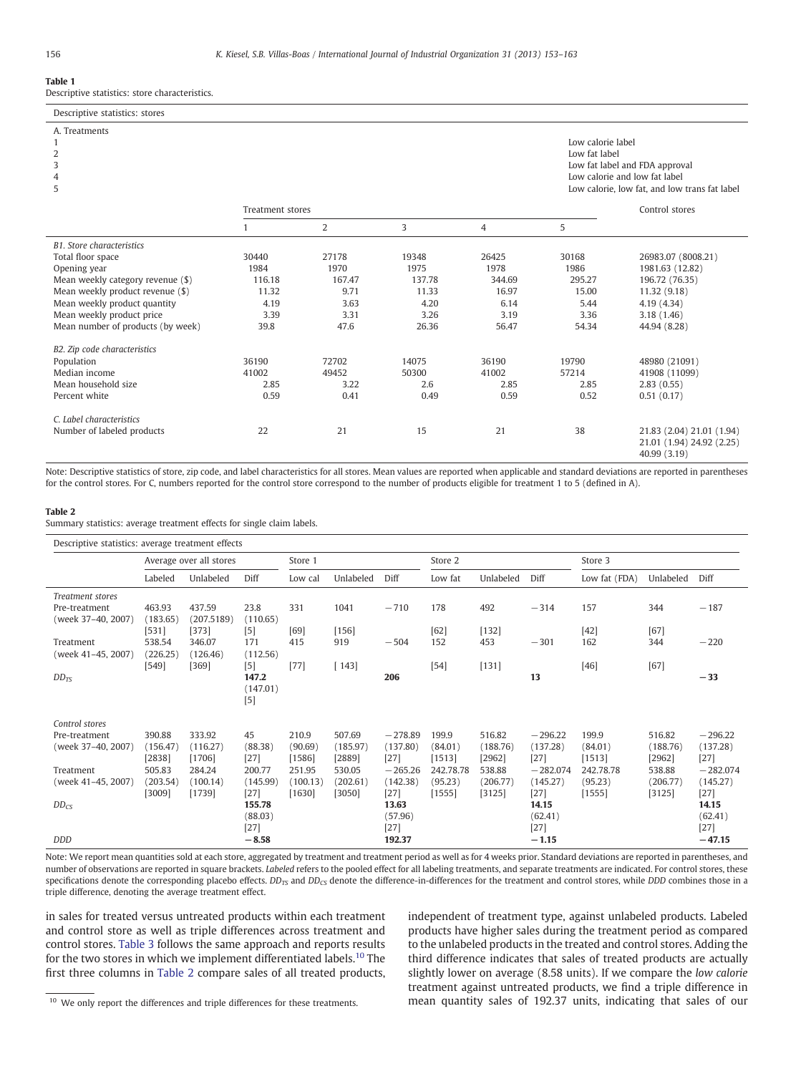#### <span id="page-3-0"></span>Table 1

Descriptive statistics: store characteristics.

| Descriptive statistics: stores    |                  |                |        |        |                                    |                                                                 |
|-----------------------------------|------------------|----------------|--------|--------|------------------------------------|-----------------------------------------------------------------|
| A. Treatments<br>2<br>3<br>4      |                  |                |        |        | Low calorie label<br>Low fat label | Low fat label and FDA approval<br>Low calorie and low fat label |
| 5                                 |                  |                |        |        |                                    | Low calorie, low fat, and low trans fat label                   |
|                                   | Treatment stores |                |        |        |                                    | Control stores                                                  |
|                                   |                  | $\overline{2}$ | 3      | 4      | 5                                  |                                                                 |
| <b>B1.</b> Store characteristics  |                  |                |        |        |                                    |                                                                 |
| Total floor space                 | 30440            | 27178          | 19348  | 26425  | 30168                              | 26983.07 (8008.21)                                              |
| Opening year                      | 1984             | 1970           | 1975   | 1978   | 1986                               | 1981.63 (12.82)                                                 |
| Mean weekly category revenue (\$) | 116.18           | 167.47         | 137.78 | 344.69 | 295.27                             | 196.72 (76.35)                                                  |
| Mean weekly product revenue (\$)  | 11.32            | 9.71           | 11.33  | 16.97  | 15.00                              | 11.32(9.18)                                                     |
| Mean weekly product quantity      | 4.19             | 3.63           | 4.20   | 6.14   | 5.44                               | 4.19 (4.34)                                                     |
| Mean weekly product price         | 3.39             | 3.31           | 3.26   | 3.19   | 3.36                               | 3.18(1.46)                                                      |
| Mean number of products (by week) | 39.8             | 47.6           | 26.36  | 56.47  | 54.34                              | 44.94 (8.28)                                                    |
| B2. Zip code characteristics      |                  |                |        |        |                                    |                                                                 |
| Population                        | 36190            | 72702          | 14075  | 36190  | 19790                              | 48980 (21091)                                                   |
| Median income                     | 41002            | 49452          | 50300  | 41002  | 57214                              | 41908 (11099)                                                   |
| Mean household size               | 2.85             | 3.22           | 2.6    | 2.85   | 2.85                               | 2.83(0.55)                                                      |
| Percent white                     | 0.59             | 0.41           | 0.49   | 0.59   | 0.52                               | 0.51(0.17)                                                      |
| C. Label characteristics          |                  |                |        |        |                                    |                                                                 |
| Number of labeled products        | 22               | 21             | 15     | 21     | 38                                 | 21.83 (2.04) 21.01 (1.94)<br>21 01 (1 94) 24 92 (2 25)          |

Note: Descriptive statistics of store, zip code, and label characteristics for all stores. Mean values are reported when applicable and standard deviations are reported in parentheses for the control stores. For C, numbers reported for the control store correspond to the number of products eligible for treatment 1 to 5 (defined in A).

#### Table 2

Summary statistics: average treatment effects for single claim labels.

| Descriptive statistics: average treatment effects |                         |            |                   |          |           |           |           |           |            |               |           |            |
|---------------------------------------------------|-------------------------|------------|-------------------|----------|-----------|-----------|-----------|-----------|------------|---------------|-----------|------------|
|                                                   | Average over all stores |            |                   | Store 1  |           |           | Store 2   |           |            | Store 3       |           |            |
|                                                   | Labeled                 | Unlabeled  | Diff              | Low cal  | Unlabeled | Diff      | Low fat   | Unlabeled | Diff       | Low fat (FDA) | Unlabeled | Diff       |
| <b>Treatment stores</b>                           |                         |            |                   |          |           |           |           |           |            |               |           |            |
| Pre-treatment                                     | 463.93                  | 437.59     | 23.8              | 331      | 1041      | $-710$    | 178       | 492       | $-314$     | 157           | 344       | $-187$     |
| (week 37-40, 2007)                                | (183.65)                | (207.5189) | (110.65)          |          |           |           |           |           |            |               |           |            |
|                                                   | [531]                   | [373]      | $[5]$             | [69]     | [156]     |           | [62]      | [132]     |            | $[42]$        | [67]      |            |
| Treatment                                         | 538.54                  | 346.07     | 171               | 415      | 919       | $-504$    | 152       | 453       | $-301$     | 162           | 344       | $-220$     |
| (week 41–45, 2007)                                | (226.25)                | (126.46)   | (112.56)          |          |           |           |           |           |            |               |           |            |
|                                                   | $[549]$                 | $[369]$    | $[5]$             | $[77]$   | $[143]$   |           | $[54]$    | $[131]$   |            | $[46]$        | $[67]$    |            |
| $DD_{TS}$                                         |                         |            | 147.2<br>(147.01) |          |           | 206       |           |           | 13         |               |           | $-33$      |
|                                                   |                         |            | $[5]$             |          |           |           |           |           |            |               |           |            |
|                                                   |                         |            |                   |          |           |           |           |           |            |               |           |            |
| Control stores                                    |                         |            |                   |          |           |           |           |           |            |               |           |            |
| Pre-treatment                                     | 390.88                  | 333.92     | 45                | 210.9    | 507.69    | $-278.89$ | 199.9     | 516.82    | $-296.22$  | 199.9         | 516.82    | $-296.22$  |
| (week 37-40, 2007)                                | (156.47)                | (116.27)   | (88.38)           | (90.69)  | (185.97)  | (137.80)  | (84.01)   | (188.76)  | (137.28)   | (84.01)       | (188.76)  | (137.28)   |
|                                                   | [2838]                  | [1706]     | $[27]$            | [1586]   | [2889]    | $[27]$    | [1513]    | [2962]    | $[27]$     | [1513]        | [2962]    | $[27]$     |
| Treatment                                         | 505.83                  | 284.24     | 200.77            | 251.95   | 530.05    | $-265.26$ | 242.78.78 | 538.88    | $-282.074$ | 242.78.78     | 538.88    | $-282.074$ |
| (week 41-45, 2007)                                | (203.54)                | (100.14)   | (145.99)          | (100.13) | (202.61)  | (142.38)  | (95.23)   | (206.77)  | (145.27)   | (95.23)       | (206.77)  | (145.27)   |
|                                                   | [3009]                  | [1739]     | $[27]$            | [1630]   | $[3050]$  | $[27]$    | [1555]    | [3125]    | $[27]$     | [1555]        | [3125]    | $[27]$     |
| $DD_{CS}$                                         |                         |            | 155.78            |          |           | 13.63     |           |           | 14.15      |               |           | 14.15      |
|                                                   |                         |            | (88.03)           |          |           | (57.96)   |           |           | (62.41)    |               |           | (62.41)    |
|                                                   |                         |            | $[27]$            |          |           | $[27]$    |           |           | $[27]$     |               |           | $[27]$     |
| <b>DDD</b>                                        |                         |            | $-8.58$           |          |           | 192.37    |           |           | $-1.15$    |               |           | $-47.15$   |

Note: We report mean quantities sold at each store, aggregated by treatment and treatment period as well as for 4 weeks prior. Standard deviations are reported in parentheses, and number of observations are reported in square brackets. Labeled refers to the pooled effect for all labeling treatments, and separate treatments are indicated. For control stores, these specifications denote the corresponding placebo effects.  $DD_{TS}$  and  $DD_{CS}$  denote the difference-in-differences for the treatment and control stores, while DDD combines those in a triple difference, denoting the average treatment effect.

in sales for treated versus untreated products within each treatment and control store as well as triple differences across treatment and control stores. [Table 3](#page-4-0) follows the same approach and reports results for the two stores in which we implement differentiated labels.<sup>10</sup> The first three columns in Table 2 compare sales of all treated products,

independent of treatment type, against unlabeled products. Labeled products have higher sales during the treatment period as compared to the unlabeled products in the treated and control stores. Adding the third difference indicates that sales of treated products are actually slightly lower on average (8.58 units). If we compare the low calorie treatment against untreated products, we find a triple difference in mean quantity sales of 192.37 units, indicating that sales of our

40.99 (3.19)

<sup>&</sup>lt;sup>10</sup> We only report the differences and triple differences for these treatments.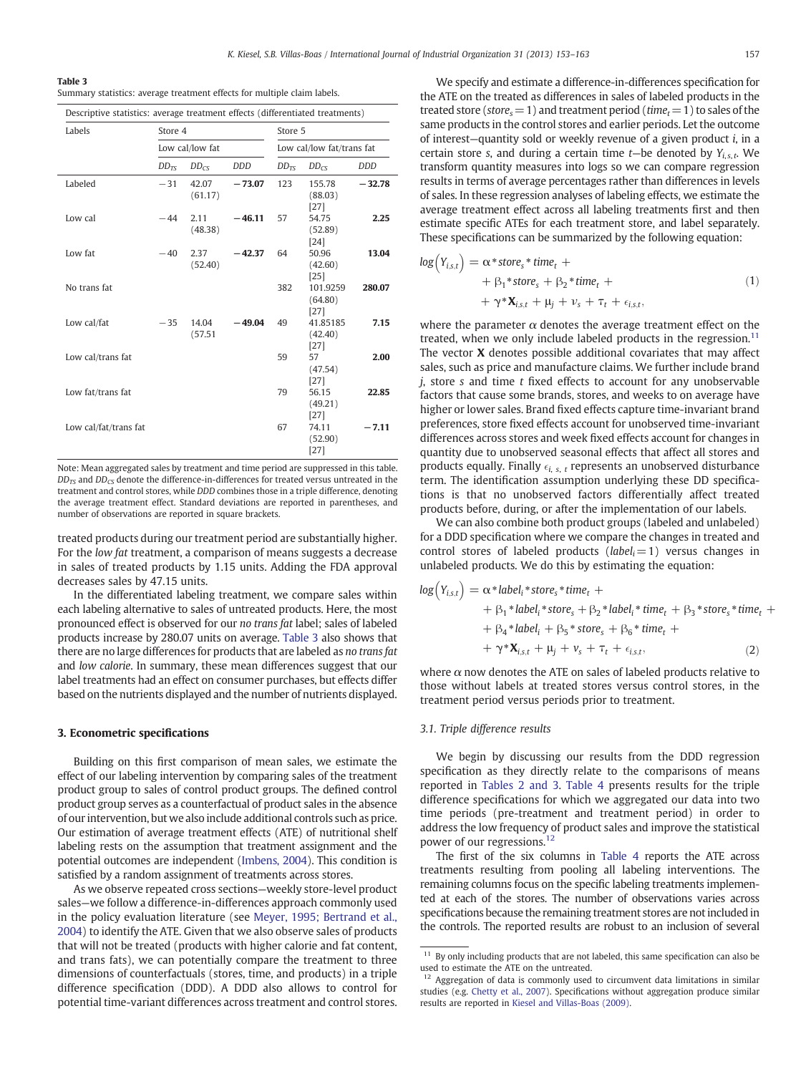<span id="page-4-0"></span>

| . .<br>. . |  |
|------------|--|
|------------|--|

Summary statistics: average treatment effects for multiple claim labels.

|  |  | Descriptive statistics, average traatment offects (differentiated traatments |  |
|--|--|------------------------------------------------------------------------------|--|

| Labels                | Store 4   |                  |            | Store 5                   |                               |            |  |
|-----------------------|-----------|------------------|------------|---------------------------|-------------------------------|------------|--|
|                       |           | Low cal/low fat  |            | Low cal/low fat/trans fat |                               |            |  |
|                       | $DD_{TS}$ | $DD_{CS}$        | <b>DDD</b> | $DD_{TS}$                 | $DD_{CS}$                     | <b>DDD</b> |  |
| Labeled               | $-31$     | 42.07<br>(61.17) | $-73.07$   | 123                       | 155.78<br>(88.03)<br>$[27]$   | $-32.78$   |  |
| Low cal               | $-44$     | 2.11<br>(48.38)  | $-46.11$   | 57                        | 54.75<br>(52.89)<br>$[24]$    | 2.25       |  |
| Low fat               | $-40$     | 2.37<br>(52.40)  | $-42.37$   | 64                        | 50.96<br>(42.60)<br>[25]      | 13.04      |  |
| No trans fat          |           |                  |            | 382                       | 101.9259<br>(64.80)<br>$[27]$ | 280.07     |  |
| Low cal/fat           | $-35$     | 14.04<br>(57.51) | $-49.04$   | 49                        | 41.85185<br>(42.40)<br>$[27]$ | 7.15       |  |
| Low cal/trans fat     |           |                  |            | 59                        | 57<br>(47.54)<br>$[27]$       | 2.00       |  |
| Low fat/trans fat     |           |                  |            | 79                        | 56.15<br>(49.21)<br>$[27]$    | 22.85      |  |
| Low cal/fat/trans fat |           |                  |            | 67                        | 74.11<br>(52.90)<br>$[27]$    | $-7.11$    |  |

Note: Mean aggregated sales by treatment and time period are suppressed in this table.  $DD_{TS}$  and  $DD_{CS}$  denote the difference-in-differences for treated versus untreated in the treatment and control stores, while DDD combines those in a triple difference, denoting the average treatment effect. Standard deviations are reported in parentheses, and number of observations are reported in square brackets.

treated products during our treatment period are substantially higher. For the low fat treatment, a comparison of means suggests a decrease in sales of treated products by 1.15 units. Adding the FDA approval decreases sales by 47.15 units.

In the differentiated labeling treatment, we compare sales within each labeling alternative to sales of untreated products. Here, the most pronounced effect is observed for our no trans fat label; sales of labeled products increase by 280.07 units on average. Table 3 also shows that there are no large differences for products that are labeled as no trans fat and low calorie. In summary, these mean differences suggest that our label treatments had an effect on consumer purchases, but effects differ based on the nutrients displayed and the number of nutrients displayed.

#### 3. Econometric specifications

Building on this first comparison of mean sales, we estimate the effect of our labeling intervention by comparing sales of the treatment product group to sales of control product groups. The defined control product group serves as a counterfactual of product sales in the absence of our intervention, but we also include additional controls such as price. Our estimation of average treatment effects (ATE) of nutritional shelf labeling rests on the assumption that treatment assignment and the potential outcomes are independent ([Imbens, 2004\)](#page-10-0). This condition is satisfied by a random assignment of treatments across stores.

As we observe repeated cross sections—weekly store-level product sales—we follow a difference-in-differences approach commonly used in the policy evaluation literature (see [Meyer, 1995; Bertrand et al.,](#page-10-0) [2004\)](#page-10-0) to identify the ATE. Given that we also observe sales of products that will not be treated (products with higher calorie and fat content, and trans fats), we can potentially compare the treatment to three dimensions of counterfactuals (stores, time, and products) in a triple difference specification (DDD). A DDD also allows to control for potential time-variant differences across treatment and control stores.

We specify and estimate a difference-in-differences specification for the ATE on the treated as differences in sales of labeled products in the treated store (store<sub>s</sub>=1) and treatment period (time<sub>t</sub>=1) to sales of the same products in the control stores and earlier periods. Let the outcome of interest—quantity sold or weekly revenue of a given product i, in a certain store s, and during a certain time  $t$ -be denoted by  $Y_{i,s,t}$ . We transform quantity measures into logs so we can compare regression results in terms of average percentages rather than differences in levels of sales. In these regression analyses of labeling effects, we estimate the average treatment effect across all labeling treatments first and then estimate specific ATEs for each treatment store, and label separately.

$$
log(Y_{i,s,t}) = \alpha * store_s * time_t ++ \beta_1 * store_s + \beta_2 * time_t ++ \gamma * \mathbf{X}_{i,s,t} + \mu_j + \nu_s + \tau_t + \epsilon_{i,s,t},
$$
 (1)

These specifications can be summarized by the following equation:

where the parameter  $\alpha$  denotes the average treatment effect on the treated, when we only include labeled products in the regression. $<sup>11</sup>$ </sup> The vector X denotes possible additional covariates that may affect sales, such as price and manufacture claims. We further include brand  $j$ , store s and time  $t$  fixed effects to account for any unobservable factors that cause some brands, stores, and weeks to on average have higher or lower sales. Brand fixed effects capture time-invariant brand preferences, store fixed effects account for unobserved time-invariant differences across stores and week fixed effects account for changes in quantity due to unobserved seasonal effects that affect all stores and products equally. Finally  $\epsilon_{i, s, t}$  represents an unobserved disturbance term. The identification assumption underlying these DD specifications is that no unobserved factors differentially affect treated products before, during, or after the implementation of our labels.

We can also combine both product groups (labeled and unlabeled) for a DDD specification where we compare the changes in treated and control stores of labeled products ( $label_i=1$ ) versus changes in unlabeled products. We do this by estimating the equation:

$$
log(Y_{i,s,t}) = \alpha * label_i * store_s * time_t ++ \beta_1 * label_i * store_s + \beta_2 * label_i * time_t + \beta_3 * store_s * time_t ++ \beta_4 * label_i + \beta_5 * store_s + \beta_6 * time_t ++ \gamma * X_{i,s,t} + \mu_j + \nu_s + \tau_t + \epsilon_{i,s,t},
$$
 (2)

where  $\alpha$  now denotes the ATE on sales of labeled products relative to those without labels at treated stores versus control stores, in the treatment period versus periods prior to treatment.

#### 3.1. Triple difference results

We begin by discussing our results from the DDD regression specification as they directly relate to the comparisons of means reported in [Tables 2 and 3](#page-3-0). [Table 4](#page-5-0) presents results for the triple difference specifications for which we aggregated our data into two time periods (pre-treatment and treatment period) in order to address the low frequency of product sales and improve the statistical power of our regressions.12

The first of the six columns in [Table 4](#page-5-0) reports the ATE across treatments resulting from pooling all labeling interventions. The remaining columns focus on the specific labeling treatments implemented at each of the stores. The number of observations varies across specifications because the remaining treatment stores are not included in the controls. The reported results are robust to an inclusion of several

 $11$  By only including products that are not labeled, this same specification can also be used to estimate the ATE on the untreated.

 $12$  Aggregation of data is commonly used to circumvent data limitations in similar studies (e.g. [Chetty et al., 2007](#page-10-0)). Specifications without aggregation produce similar results are reported in [Kiesel and Villas-Boas \(2009\)](#page-10-0).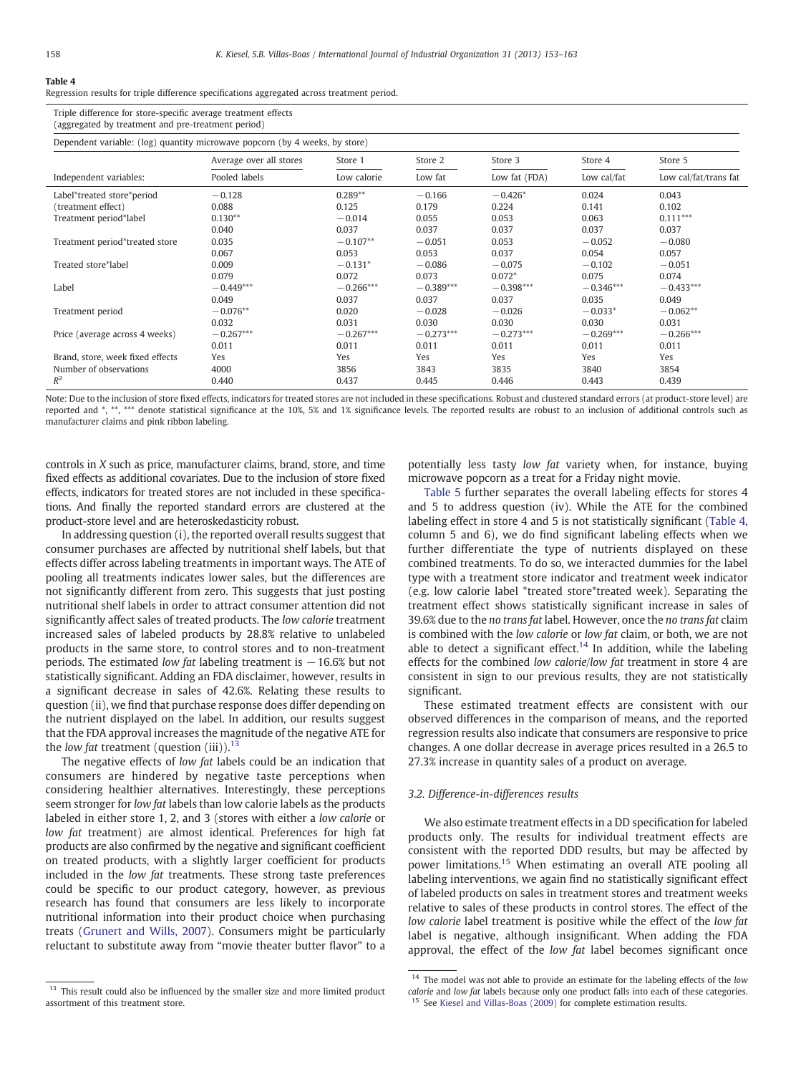#### <span id="page-5-0"></span>Table 4

Regression results for triple difference specifications aggregated across treatment period.

|  |  |  | Triple difference for store-specific average treatment effects<br>(aggregated by treatment and pre-treatment period) |  |  |  |  |  |
|--|--|--|----------------------------------------------------------------------------------------------------------------------|--|--|--|--|--|
|  |  |  |                                                                                                                      |  |  |  |  |  |

|                                  | Average over all stores | Store 1     | Store 2     | Store 3       | Store 4     | Store 5               |
|----------------------------------|-------------------------|-------------|-------------|---------------|-------------|-----------------------|
| Independent variables:           | Pooled labels           | Low calorie | Low fat     | Low fat (FDA) | Low cal/fat | Low cal/fat/trans fat |
| Label*treated store*period       | $-0.128$                | $0.289**$   | $-0.166$    | $-0.426*$     | 0.024       | 0.043                 |
| (treatment effect)               | 0.088                   | 0.125       | 0.179       | 0.224         | 0.141       | 0.102                 |
| Treatment period*label           | $0.130**$               | $-0.014$    | 0.055       | 0.053         | 0.063       | $0.111***$            |
|                                  | 0.040                   | 0.037       | 0.037       | 0.037         | 0.037       | 0.037                 |
| Treatment period*treated store   | 0.035                   | $-0.107**$  | $-0.051$    | 0.053         | $-0.052$    | $-0.080$              |
|                                  | 0.067                   | 0.053       | 0.053       | 0.037         | 0.054       | 0.057                 |
| Treated store*label              | 0.009                   | $-0.131*$   | $-0.086$    | $-0.075$      | $-0.102$    | $-0.051$              |
|                                  | 0.079                   | 0.072       | 0.073       | $0.072*$      | 0.075       | 0.074                 |
| Label                            | $-0.449***$             | $-0.266***$ | $-0.389***$ | $-0.398***$   | $-0.346***$ | $-0.433***$           |
|                                  | 0.049                   | 0.037       | 0.037       | 0.037         | 0.035       | 0.049                 |
| Treatment period                 | $-0.076**$              | 0.020       | $-0.028$    | $-0.026$      | $-0.033*$   | $-0.062**$            |
|                                  | 0.032                   | 0.031       | 0.030       | 0.030         | 0.030       | 0.031                 |
| Price (average across 4 weeks)   | $-0.267***$             | $-0.267***$ | $-0.273***$ | $-0.273***$   | $-0.269***$ | $-0.266***$           |
|                                  | 0.011                   | 0.011       | 0.011       | 0.011         | 0.011       | 0.011                 |
| Brand, store, week fixed effects | Yes                     | Yes         | Yes         | Yes           | Yes         | Yes                   |
| Number of observations           | 4000                    | 3856        | 3843        | 3835          | 3840        | 3854                  |
| $R^2$                            | 0.440                   | 0.437       | 0.445       | 0.446         | 0.443       | 0.439                 |

Note: Due to the inclusion of store fixed effects, indicators for treated stores are not included in these specifications. Robust and clustered standard errors (at product-store level) are reported and \*, \*\*, \*\*\* denote statistical significance at the 10%, 5% and 1% significance levels. The reported results are robust to an inclusion of additional controls such as manufacturer claims and pink ribbon labeling.

controls in X such as price, manufacturer claims, brand, store, and time fixed effects as additional covariates. Due to the inclusion of store fixed effects, indicators for treated stores are not included in these specifications. And finally the reported standard errors are clustered at the product-store level and are heteroskedasticity robust.

In addressing question (i), the reported overall results suggest that consumer purchases are affected by nutritional shelf labels, but that effects differ across labeling treatments in important ways. The ATE of pooling all treatments indicates lower sales, but the differences are not significantly different from zero. This suggests that just posting nutritional shelf labels in order to attract consumer attention did not significantly affect sales of treated products. The low calorie treatment increased sales of labeled products by 28.8% relative to unlabeled products in the same store, to control stores and to non-treatment periods. The estimated low fat labeling treatment is  $-16.6\%$  but not statistically significant. Adding an FDA disclaimer, however, results in a significant decrease in sales of 42.6%. Relating these results to question (ii), we find that purchase response does differ depending on the nutrient displayed on the label. In addition, our results suggest that the FDA approval increases the magnitude of the negative ATE for the low fat treatment (question (iii)).<sup>13</sup>

The negative effects of low fat labels could be an indication that consumers are hindered by negative taste perceptions when considering healthier alternatives. Interestingly, these perceptions seem stronger for low fat labels than low calorie labels as the products labeled in either store 1, 2, and 3 (stores with either a low calorie or low fat treatment) are almost identical. Preferences for high fat products are also confirmed by the negative and significant coefficient on treated products, with a slightly larger coefficient for products included in the low fat treatments. These strong taste preferences could be specific to our product category, however, as previous research has found that consumers are less likely to incorporate nutritional information into their product choice when purchasing treats ([Grunert and Wills, 2007\)](#page-10-0). Consumers might be particularly reluctant to substitute away from "movie theater butter flavor" to a

potentially less tasty low fat variety when, for instance, buying microwave popcorn as a treat for a Friday night movie.

[Table 5](#page-6-0) further separates the overall labeling effects for stores 4 and 5 to address question (iv). While the ATE for the combined labeling effect in store 4 and 5 is not statistically significant (Table 4, column 5 and 6), we do find significant labeling effects when we further differentiate the type of nutrients displayed on these combined treatments. To do so, we interacted dummies for the label type with a treatment store indicator and treatment week indicator (e.g. low calorie label \*treated store\*treated week). Separating the treatment effect shows statistically significant increase in sales of 39.6% due to the no trans fat label. However, once the no trans fat claim is combined with the low calorie or low fat claim, or both, we are not able to detect a significant effect.<sup>14</sup> In addition, while the labeling effects for the combined low calorie/low fat treatment in store 4 are consistent in sign to our previous results, they are not statistically significant.

These estimated treatment effects are consistent with our observed differences in the comparison of means, and the reported regression results also indicate that consumers are responsive to price changes. A one dollar decrease in average prices resulted in a 26.5 to 27.3% increase in quantity sales of a product on average.

#### 3.2. Difference-in-differences results

We also estimate treatment effects in a DD specification for labeled products only. The results for individual treatment effects are consistent with the reported DDD results, but may be affected by power limitations.<sup>15</sup> When estimating an overall ATE pooling all labeling interventions, we again find no statistically significant effect of labeled products on sales in treatment stores and treatment weeks relative to sales of these products in control stores. The effect of the low calorie label treatment is positive while the effect of the low fat label is negative, although insignificant. When adding the FDA approval, the effect of the low fat label becomes significant once

 $^{13}$  This result could also be influenced by the smaller size and more limited product assortment of this treatment store.

 $14$  The model was not able to provide an estimate for the labeling effects of the low calorie and low fat labels because only one product falls into each of these categories. <sup>15</sup> See [Kiesel and Villas-Boas \(2009\)](#page-10-0) for complete estimation results.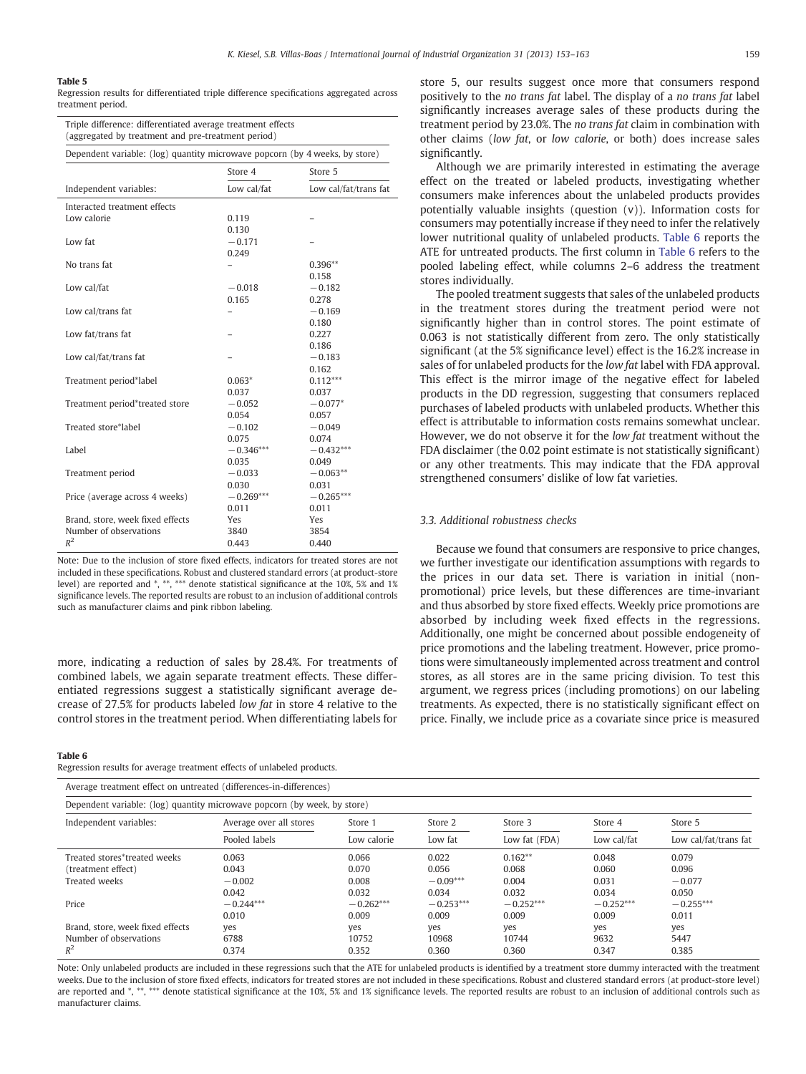#### <span id="page-6-0"></span>Table 5

Regression results for differentiated triple difference specifications aggregated across treatment period.

| Triple difference: differentiated average treatment effects<br>(aggregated by treatment and pre-treatment period) |                          |                       |  |  |  |  |
|-------------------------------------------------------------------------------------------------------------------|--------------------------|-----------------------|--|--|--|--|
| Dependent variable: (log) quantity microwave popcorn (by 4 weeks, by store)                                       |                          |                       |  |  |  |  |
|                                                                                                                   | Store 4                  | Store 5               |  |  |  |  |
| Independent variables:                                                                                            | Low cal/fat              | Low cal/fat/trans fat |  |  |  |  |
| Interacted treatment effects                                                                                      |                          |                       |  |  |  |  |
| Low calorie                                                                                                       | 0.119                    |                       |  |  |  |  |
|                                                                                                                   | 0.130                    |                       |  |  |  |  |
| Low fat                                                                                                           | $-0.171$                 |                       |  |  |  |  |
|                                                                                                                   | 0.249                    |                       |  |  |  |  |
| No trans fat                                                                                                      | $\overline{\phantom{0}}$ | $0.396**$             |  |  |  |  |
|                                                                                                                   |                          | 0.158                 |  |  |  |  |
| Low cal/fat                                                                                                       | $-0.018$                 | $-0.182$              |  |  |  |  |
|                                                                                                                   | 0.165                    | 0.278                 |  |  |  |  |
| Low cal/trans fat                                                                                                 |                          | $-0.169$              |  |  |  |  |
|                                                                                                                   |                          | 0.180                 |  |  |  |  |
| Low fat/trans fat                                                                                                 |                          | 0.227                 |  |  |  |  |
|                                                                                                                   |                          | 0.186                 |  |  |  |  |
| Low cal/fat/trans fat                                                                                             |                          | $-0.183$              |  |  |  |  |
|                                                                                                                   |                          | 0.162                 |  |  |  |  |
| Treatment period*label                                                                                            | $0.063*$                 | $0.112***$            |  |  |  |  |
|                                                                                                                   | 0.037                    | 0.037                 |  |  |  |  |
| Treatment period*treated store                                                                                    | $-0.052$                 | $-0.077*$             |  |  |  |  |
|                                                                                                                   | 0.054                    | 0.057                 |  |  |  |  |
| Treated store*label                                                                                               | $-0.102$                 | $-0.049$              |  |  |  |  |
|                                                                                                                   | 0.075                    | 0.074                 |  |  |  |  |
| Label                                                                                                             | $-0.346***$              | $-0.432***$           |  |  |  |  |
|                                                                                                                   | 0.035                    | 0.049                 |  |  |  |  |
| Treatment period                                                                                                  | $-0.033$                 | $-0.063**$            |  |  |  |  |
|                                                                                                                   | 0.030                    | 0.031                 |  |  |  |  |
| Price (average across 4 weeks)                                                                                    | $-0.269***$              | $-0.265***$           |  |  |  |  |
|                                                                                                                   | 0.011                    | 0.011                 |  |  |  |  |
| Brand, store, week fixed effects                                                                                  | Yes                      | Yes                   |  |  |  |  |
| Number of observations                                                                                            | 3840                     | 3854                  |  |  |  |  |
| $R^2$                                                                                                             | 0.443                    | 0.440                 |  |  |  |  |
|                                                                                                                   |                          |                       |  |  |  |  |

Note: Due to the inclusion of store fixed effects, indicators for treated stores are not included in these specifications. Robust and clustered standard errors (at product-store level) are reported and \*, \*\*, \*\*\* denote statistical significance at the 10%, 5% and 1% significance levels. The reported results are robust to an inclusion of additional controls such as manufacturer claims and pink ribbon labeling.

more, indicating a reduction of sales by 28.4%. For treatments of combined labels, we again separate treatment effects. These differentiated regressions suggest a statistically significant average decrease of 27.5% for products labeled low fat in store 4 relative to the control stores in the treatment period. When differentiating labels for

#### Table 6

Regression results for average treatment effects of unlabeled products.

store 5, our results suggest once more that consumers respond positively to the no trans fat label. The display of a no trans fat label significantly increases average sales of these products during the treatment period by 23.0%. The no trans fat claim in combination with other claims (low fat, or low calorie, or both) does increase sales significantly.

Although we are primarily interested in estimating the average effect on the treated or labeled products, investigating whether consumers make inferences about the unlabeled products provides potentially valuable insights (question (v)). Information costs for consumers may potentially increase if they need to infer the relatively lower nutritional quality of unlabeled products. Table 6 reports the ATE for untreated products. The first column in Table 6 refers to the pooled labeling effect, while columns 2–6 address the treatment stores individually.

The pooled treatment suggests that sales of the unlabeled products in the treatment stores during the treatment period were not significantly higher than in control stores. The point estimate of 0.063 is not statistically different from zero. The only statistically significant (at the 5% significance level) effect is the 16.2% increase in sales of for unlabeled products for the low fat label with FDA approval. This effect is the mirror image of the negative effect for labeled products in the DD regression, suggesting that consumers replaced purchases of labeled products with unlabeled products. Whether this effect is attributable to information costs remains somewhat unclear. However, we do not observe it for the low fat treatment without the FDA disclaimer (the 0.02 point estimate is not statistically significant) or any other treatments. This may indicate that the FDA approval strengthened consumers' dislike of low fat varieties.

### 3.3. Additional robustness checks

Because we found that consumers are responsive to price changes, we further investigate our identification assumptions with regards to the prices in our data set. There is variation in initial (nonpromotional) price levels, but these differences are time-invariant and thus absorbed by store fixed effects. Weekly price promotions are absorbed by including week fixed effects in the regressions. Additionally, one might be concerned about possible endogeneity of price promotions and the labeling treatment. However, price promotions were simultaneously implemented across treatment and control stores, as all stores are in the same pricing division. To test this argument, we regress prices (including promotions) on our labeling treatments. As expected, there is no statistically significant effect on price. Finally, we include price as a covariate since price is measured

|                                                                          | Average treatment effect on untreated (differences-in-differences) |             |             |               |             |                       |  |  |  |
|--------------------------------------------------------------------------|--------------------------------------------------------------------|-------------|-------------|---------------|-------------|-----------------------|--|--|--|
| Dependent variable: (log) quantity microwave popcorn (by week, by store) |                                                                    |             |             |               |             |                       |  |  |  |
| Independent variables:                                                   | Average over all stores                                            | Store 1     | Store 2     | Store 3       | Store 4     | Store 5               |  |  |  |
|                                                                          | Pooled labels                                                      | Low calorie | Low fat     | Low fat (FDA) | Low cal/fat | Low cal/fat/trans fat |  |  |  |
| Treated stores*treated weeks                                             | 0.063                                                              | 0.066       | 0.022       | $0.162**$     | 0.048       | 0.079                 |  |  |  |
| (treatment effect)                                                       | 0.043                                                              | 0.070       | 0.056       | 0.068         | 0.060       | 0.096                 |  |  |  |
| Treated weeks                                                            | $-0.002$                                                           | 0.008       | $-0.09***$  | 0.004         | 0.031       | $-0.077$              |  |  |  |
|                                                                          | 0.042                                                              | 0.032       | 0.034       | 0.032         | 0.034       | 0.050                 |  |  |  |
| Price                                                                    | $-0.244***$                                                        | $-0.262***$ | $-0.253***$ | $-0.252***$   | $-0.252***$ | $-0.255***$           |  |  |  |
|                                                                          | 0.010                                                              | 0.009       | 0.009       | 0.009         | 0.009       | 0.011                 |  |  |  |
| Brand, store, week fixed effects                                         | yes                                                                | yes         | yes         | yes           | yes         | yes                   |  |  |  |
| Number of observations                                                   | 6788                                                               | 10752       | 10968       | 10744         | 9632        | 5447                  |  |  |  |
| $R^2$                                                                    | 0.374                                                              | 0.352       | 0.360       | 0.360         | 0.347       | 0.385                 |  |  |  |

Note: Only unlabeled products are included in these regressions such that the ATE for unlabeled products is identified by a treatment store dummy interacted with the treatment weeks. Due to the inclusion of store fixed effects, indicators for treated stores are not included in these specifications. Robust and clustered standard errors (at product-store level) are reported and \*,\*\*,\*\*\*\* denote statistical significance at the 10%, 5% and 1% significance levels. The reported results are robust to an inclusion of additional controls such as manufacturer claims.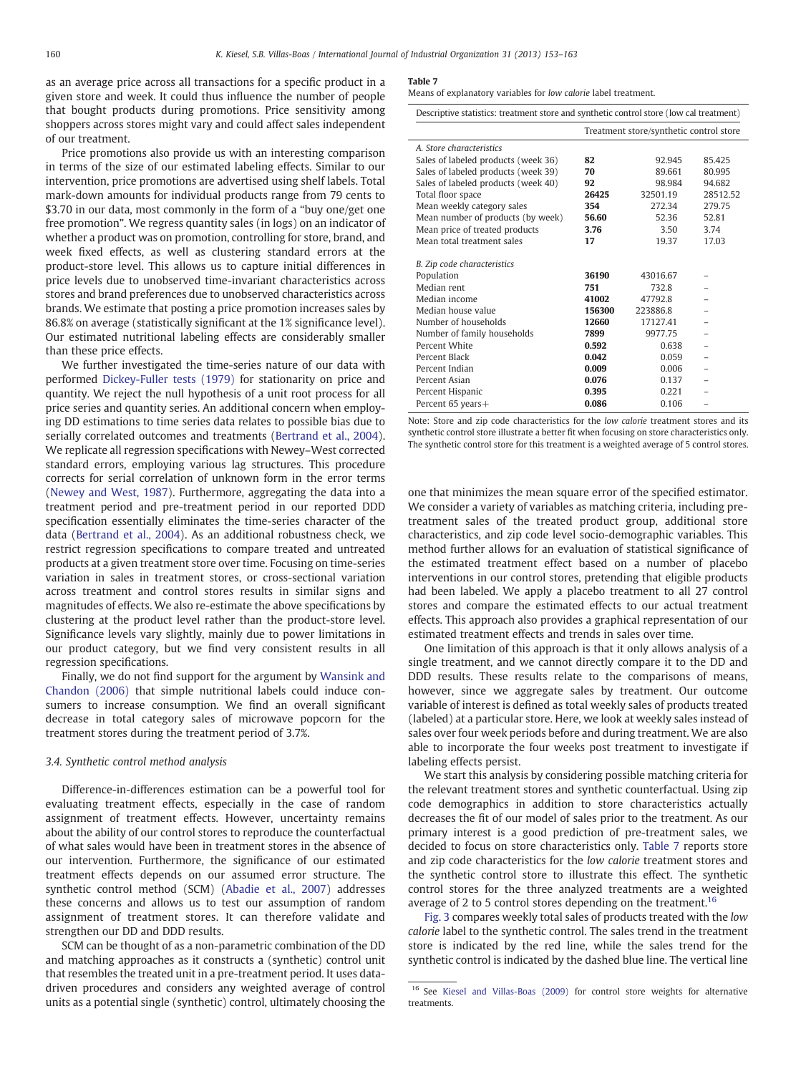as an average price across all transactions for a specific product in a given store and week. It could thus influence the number of people that bought products during promotions. Price sensitivity among shoppers across stores might vary and could affect sales independent of our treatment.

Price promotions also provide us with an interesting comparison in terms of the size of our estimated labeling effects. Similar to our intervention, price promotions are advertised using shelf labels. Total mark-down amounts for individual products range from 79 cents to \$3.70 in our data, most commonly in the form of a "buy one/get one free promotion". We regress quantity sales (in logs) on an indicator of whether a product was on promotion, controlling for store, brand, and week fixed effects, as well as clustering standard errors at the product-store level. This allows us to capture initial differences in price levels due to unobserved time-invariant characteristics across stores and brand preferences due to unobserved characteristics across brands. We estimate that posting a price promotion increases sales by 86.8% on average (statistically significant at the 1% significance level). Our estimated nutritional labeling effects are considerably smaller than these price effects.

We further investigated the time-series nature of our data with performed [Dickey-Fuller tests \(1979\)](#page-10-0) for stationarity on price and quantity. We reject the null hypothesis of a unit root process for all price series and quantity series. An additional concern when employing DD estimations to time series data relates to possible bias due to serially correlated outcomes and treatments ([Bertrand et al., 2004](#page-10-0)). We replicate all regression specifications with Newey–West corrected standard errors, employing various lag structures. This procedure corrects for serial correlation of unknown form in the error terms [\(Newey and West, 1987](#page-10-0)). Furthermore, aggregating the data into a treatment period and pre-treatment period in our reported DDD specification essentially eliminates the time-series character of the data [\(Bertrand et al., 2004](#page-10-0)). As an additional robustness check, we restrict regression specifications to compare treated and untreated products at a given treatment store over time. Focusing on time-series variation in sales in treatment stores, or cross-sectional variation across treatment and control stores results in similar signs and magnitudes of effects. We also re-estimate the above specifications by clustering at the product level rather than the product-store level. Significance levels vary slightly, mainly due to power limitations in our product category, but we find very consistent results in all regression specifications.

Finally, we do not find support for the argument by [Wansink and](#page-10-0) [Chandon \(2006\)](#page-10-0) that simple nutritional labels could induce consumers to increase consumption. We find an overall significant decrease in total category sales of microwave popcorn for the treatment stores during the treatment period of 3.7%.

#### 3.4. Synthetic control method analysis

Difference-in-differences estimation can be a powerful tool for evaluating treatment effects, especially in the case of random assignment of treatment effects. However, uncertainty remains about the ability of our control stores to reproduce the counterfactual of what sales would have been in treatment stores in the absence of our intervention. Furthermore, the significance of our estimated treatment effects depends on our assumed error structure. The synthetic control method (SCM) ([Abadie et al., 2007](#page-10-0)) addresses these concerns and allows us to test our assumption of random assignment of treatment stores. It can therefore validate and strengthen our DD and DDD results.

SCM can be thought of as a non-parametric combination of the DD and matching approaches as it constructs a (synthetic) control unit that resembles the treated unit in a pre-treatment period. It uses datadriven procedures and considers any weighted average of control units as a potential single (synthetic) control, ultimately choosing the

#### Table 7

Means of explanatory variables for low calorie label treatment.

| Descriptive statistics: treatment store and synthetic control store (low cal treatment) |  |  |
|-----------------------------------------------------------------------------------------|--|--|
|                                                                                         |  |  |

|                                     |        | Treatment store/synthetic control store |          |
|-------------------------------------|--------|-----------------------------------------|----------|
| A Store characteristics             |        |                                         |          |
| Sales of labeled products (week 36) | 82     | 92.945                                  | 85.425   |
| Sales of labeled products (week 39) | 70     | 89.661                                  | 80.995   |
| Sales of labeled products (week 40) | 92     | 98.984                                  | 94.682   |
| Total floor space                   | 26425  | 32501.19                                | 28512.52 |
| Mean weekly category sales          | 354    | 272.34                                  | 279.75   |
| Mean number of products (by week)   | 56.60  | 52.36                                   | 52.81    |
| Mean price of treated products      | 3.76   | 3.50                                    | 3.74     |
| Mean total treatment sales          | 17     | 19.37                                   | 17.03    |
| B. Zip code characteristics         |        |                                         |          |
| Population                          | 36190  | 43016.67                                |          |
| Median rent                         | 751    | 732.8                                   |          |
| Median income                       | 41002  | 47792.8                                 |          |
| Median house value                  | 156300 | 223886.8                                |          |
| Number of households                | 12660  | 17127.41                                |          |
| Number of family households         | 7899   | 9977.75                                 |          |
| Percent White                       | 0.592  | 0.638                                   |          |
| Percent Black                       | 0.042  | 0.059                                   |          |
| Percent Indian                      | 0.009  | 0.006                                   |          |
| Percent Asian                       | 0.076  | 0.137                                   |          |
| Percent Hispanic                    | 0.395  | 0.221                                   |          |
| Percent 65 years $+$                | 0.086  | 0.106                                   |          |

Note: Store and zip code characteristics for the low calorie treatment stores and its synthetic control store illustrate a better fit when focusing on store characteristics only. The synthetic control store for this treatment is a weighted average of 5 control stores.

one that minimizes the mean square error of the specified estimator. We consider a variety of variables as matching criteria, including pretreatment sales of the treated product group, additional store characteristics, and zip code level socio-demographic variables. This method further allows for an evaluation of statistical significance of the estimated treatment effect based on a number of placebo interventions in our control stores, pretending that eligible products had been labeled. We apply a placebo treatment to all 27 control stores and compare the estimated effects to our actual treatment effects. This approach also provides a graphical representation of our estimated treatment effects and trends in sales over time.

One limitation of this approach is that it only allows analysis of a single treatment, and we cannot directly compare it to the DD and DDD results. These results relate to the comparisons of means, however, since we aggregate sales by treatment. Our outcome variable of interest is defined as total weekly sales of products treated (labeled) at a particular store. Here, we look at weekly sales instead of sales over four week periods before and during treatment. We are also able to incorporate the four weeks post treatment to investigate if labeling effects persist.

We start this analysis by considering possible matching criteria for the relevant treatment stores and synthetic counterfactual. Using zip code demographics in addition to store characteristics actually decreases the fit of our model of sales prior to the treatment. As our primary interest is a good prediction of pre-treatment sales, we decided to focus on store characteristics only. Table 7 reports store and zip code characteristics for the low calorie treatment stores and the synthetic control store to illustrate this effect. The synthetic control stores for the three analyzed treatments are a weighted average of 2 to 5 control stores depending on the treatment.<sup>16</sup>

[Fig. 3](#page-8-0) compares weekly total sales of products treated with the low calorie label to the synthetic control. The sales trend in the treatment store is indicated by the red line, while the sales trend for the synthetic control is indicated by the dashed blue line. The vertical line

<sup>&</sup>lt;sup>16</sup> See [Kiesel and Villas-Boas \(2009\)](#page-10-0) for control store weights for alternative treatments.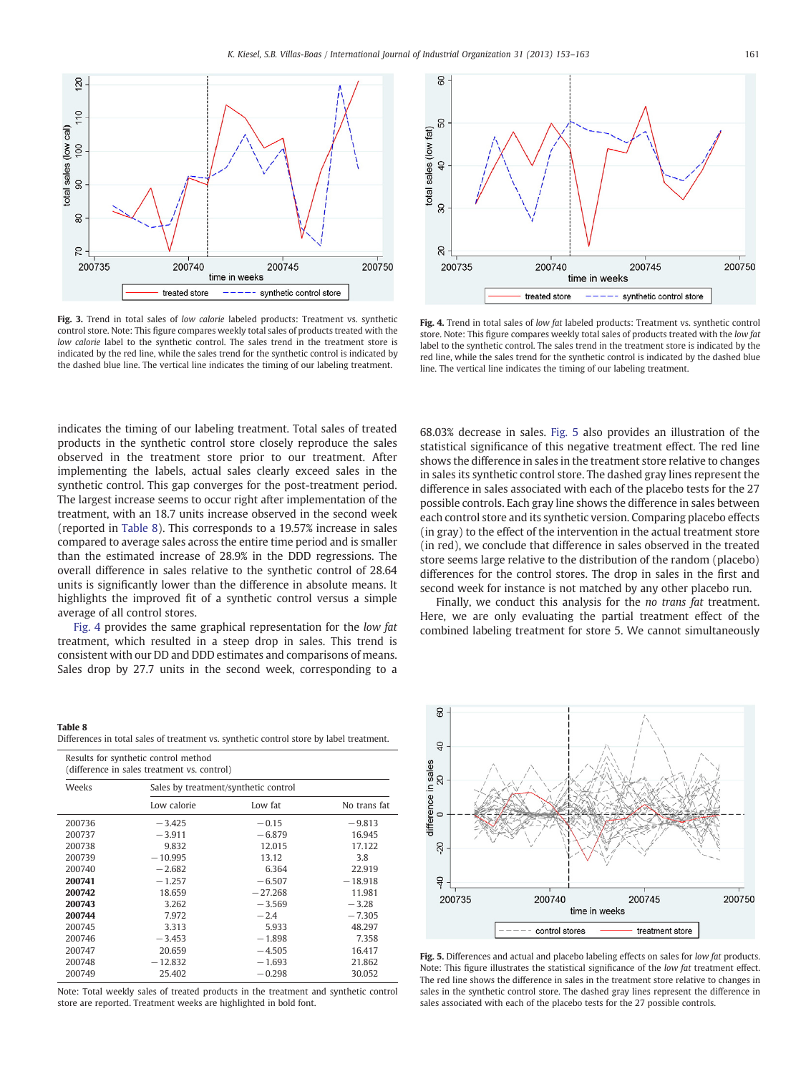<span id="page-8-0"></span>

Fig. 3. Trend in total sales of low calorie labeled products: Treatment vs. synthetic control store. Note: This figure compares weekly total sales of products treated with the low calorie label to the synthetic control. The sales trend in the treatment store is indicated by the red line, while the sales trend for the synthetic control is indicated by the dashed blue line. The vertical line indicates the timing of our labeling treatment.

indicates the timing of our labeling treatment. Total sales of treated products in the synthetic control store closely reproduce the sales observed in the treatment store prior to our treatment. After implementing the labels, actual sales clearly exceed sales in the synthetic control. This gap converges for the post-treatment period. The largest increase seems to occur right after implementation of the treatment, with an 18.7 units increase observed in the second week (reported in Table 8). This corresponds to a 19.57% increase in sales compared to average sales across the entire time period and is smaller than the estimated increase of 28.9% in the DDD regressions. The overall difference in sales relative to the synthetic control of 28.64 units is significantly lower than the difference in absolute means. It highlights the improved fit of a synthetic control versus a simple average of all control stores.

Fig. 4 provides the same graphical representation for the low fat treatment, which resulted in a steep drop in sales. This trend is consistent with our DD and DDD estimates and comparisons of means. Sales drop by 27.7 units in the second week, corresponding to a

Table 8 Differences in total sales of treatment vs. synthetic control store by label treatment.

| Results for synthetic control method<br>(difference in sales treatment vs. control) |             |                                      |              |  |  |  |  |  |
|-------------------------------------------------------------------------------------|-------------|--------------------------------------|--------------|--|--|--|--|--|
| Weeks                                                                               |             | Sales by treatment/synthetic control |              |  |  |  |  |  |
|                                                                                     | Low calorie | Low fat                              | No trans fat |  |  |  |  |  |
| 200736                                                                              | $-3.425$    | $-0.15$                              | $-9.813$     |  |  |  |  |  |
| 200737                                                                              | $-3.911$    | $-6.879$                             | 16.945       |  |  |  |  |  |
| 200738                                                                              | 9.832       | 12.015                               | 17.122       |  |  |  |  |  |
| 200739                                                                              | $-10.995$   | 13.12                                | 3.8          |  |  |  |  |  |
| 200740                                                                              | $-2.682$    | 6.364                                | 22.919       |  |  |  |  |  |
| 200741                                                                              | $-1.257$    | $-6.507$                             | $-18.918$    |  |  |  |  |  |
| 200742                                                                              | 18.659      | $-27.268$                            | 11.981       |  |  |  |  |  |
| 200743                                                                              | 3.262       | $-3.569$                             | $-3.28$      |  |  |  |  |  |
| 200744                                                                              | 7.972       | $-2.4$                               | $-7.305$     |  |  |  |  |  |
| 200745                                                                              | 3.313       | 5.933                                | 48.297       |  |  |  |  |  |
| 200746                                                                              | $-3.453$    | $-1.898$                             | 7.358        |  |  |  |  |  |
| 200747                                                                              | 20.659      | $-4.505$                             | 16.417       |  |  |  |  |  |
| 200748                                                                              | $-12.832$   | $-1.693$                             | 21.862       |  |  |  |  |  |
| 200749                                                                              | 25.402      | $-0.298$                             | 30.052       |  |  |  |  |  |

Note: Total weekly sales of treated products in the treatment and synthetic control store are reported. Treatment weeks are highlighted in bold font.



Fig. 4. Trend in total sales of low fat labeled products: Treatment vs. synthetic control store. Note: This figure compares weekly total sales of products treated with the low fat label to the synthetic control. The sales trend in the treatment store is indicated by the red line, while the sales trend for the synthetic control is indicated by the dashed blue line. The vertical line indicates the timing of our labeling treatment.

68.03% decrease in sales. Fig. 5 also provides an illustration of the statistical significance of this negative treatment effect. The red line shows the difference in sales in the treatment store relative to changes in sales its synthetic control store. The dashed gray lines represent the difference in sales associated with each of the placebo tests for the 27 possible controls. Each gray line shows the difference in sales between each control store and its synthetic version. Comparing placebo effects (in gray) to the effect of the intervention in the actual treatment store (in red), we conclude that difference in sales observed in the treated store seems large relative to the distribution of the random (placebo) differences for the control stores. The drop in sales in the first and second week for instance is not matched by any other placebo run.

Finally, we conduct this analysis for the no trans fat treatment. Here, we are only evaluating the partial treatment effect of the combined labeling treatment for store 5. We cannot simultaneously



Fig. 5. Differences and actual and placebo labeling effects on sales for low fat products. Note: This figure illustrates the statistical significance of the low fat treatment effect. The red line shows the difference in sales in the treatment store relative to changes in sales in the synthetic control store. The dashed gray lines represent the difference in sales associated with each of the placebo tests for the 27 possible controls.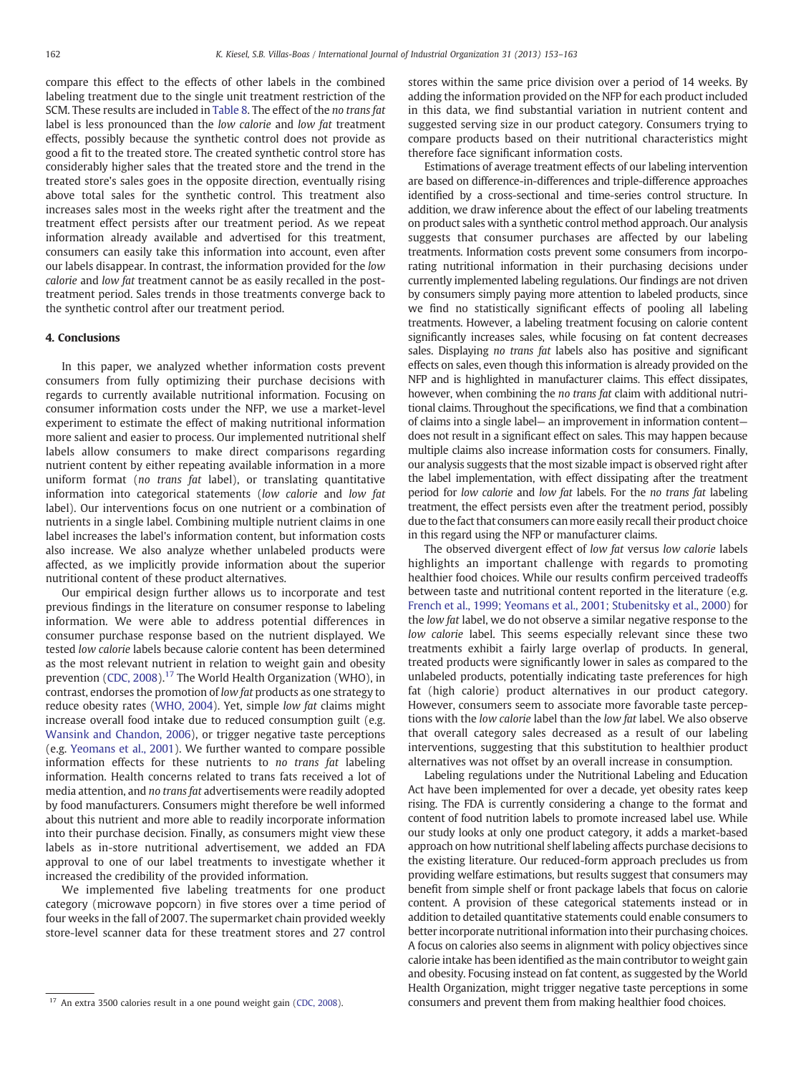<span id="page-9-0"></span>compare this effect to the effects of other labels in the combined labeling treatment due to the single unit treatment restriction of the SCM. These results are included in [Table 8.](#page-8-0) The effect of the no trans fat label is less pronounced than the low calorie and low fat treatment effects, possibly because the synthetic control does not provide as good a fit to the treated store. The created synthetic control store has considerably higher sales that the treated store and the trend in the treated store's sales goes in the opposite direction, eventually rising above total sales for the synthetic control. This treatment also increases sales most in the weeks right after the treatment and the treatment effect persists after our treatment period. As we repeat information already available and advertised for this treatment, consumers can easily take this information into account, even after our labels disappear. In contrast, the information provided for the low calorie and low fat treatment cannot be as easily recalled in the posttreatment period. Sales trends in those treatments converge back to the synthetic control after our treatment period.

#### 4. Conclusions

In this paper, we analyzed whether information costs prevent consumers from fully optimizing their purchase decisions with regards to currently available nutritional information. Focusing on consumer information costs under the NFP, we use a market-level experiment to estimate the effect of making nutritional information more salient and easier to process. Our implemented nutritional shelf labels allow consumers to make direct comparisons regarding nutrient content by either repeating available information in a more uniform format (no trans fat label), or translating quantitative information into categorical statements (low calorie and low fat label). Our interventions focus on one nutrient or a combination of nutrients in a single label. Combining multiple nutrient claims in one label increases the label's information content, but information costs also increase. We also analyze whether unlabeled products were affected, as we implicitly provide information about the superior nutritional content of these product alternatives.

Our empirical design further allows us to incorporate and test previous findings in the literature on consumer response to labeling information. We were able to address potential differences in consumer purchase response based on the nutrient displayed. We tested low calorie labels because calorie content has been determined as the most relevant nutrient in relation to weight gain and obesity prevention [\(CDC, 2008\)](#page-10-0).<sup>17</sup> The World Health Organization (WHO), in contrast, endorses the promotion of low fat products as one strategy to reduce obesity rates ([WHO, 2004](#page-10-0)). Yet, simple low fat claims might increase overall food intake due to reduced consumption guilt (e.g. [Wansink and Chandon, 2006\)](#page-10-0), or trigger negative taste perceptions (e.g. [Yeomans et al., 2001\)](#page-10-0). We further wanted to compare possible information effects for these nutrients to no trans fat labeling information. Health concerns related to trans fats received a lot of media attention, and no trans fat advertisements were readily adopted by food manufacturers. Consumers might therefore be well informed about this nutrient and more able to readily incorporate information into their purchase decision. Finally, as consumers might view these labels as in-store nutritional advertisement, we added an FDA approval to one of our label treatments to investigate whether it increased the credibility of the provided information.

We implemented five labeling treatments for one product category (microwave popcorn) in five stores over a time period of four weeks in the fall of 2007. The supermarket chain provided weekly store-level scanner data for these treatment stores and 27 control

stores within the same price division over a period of 14 weeks. By adding the information provided on the NFP for each product included in this data, we find substantial variation in nutrient content and suggested serving size in our product category. Consumers trying to compare products based on their nutritional characteristics might therefore face significant information costs.

Estimations of average treatment effects of our labeling intervention are based on difference-in-differences and triple-difference approaches identified by a cross-sectional and time-series control structure. In addition, we draw inference about the effect of our labeling treatments on product sales with a synthetic control method approach. Our analysis suggests that consumer purchases are affected by our labeling treatments. Information costs prevent some consumers from incorporating nutritional information in their purchasing decisions under currently implemented labeling regulations. Our findings are not driven by consumers simply paying more attention to labeled products, since we find no statistically significant effects of pooling all labeling treatments. However, a labeling treatment focusing on calorie content significantly increases sales, while focusing on fat content decreases sales. Displaying no trans fat labels also has positive and significant effects on sales, even though this information is already provided on the NFP and is highlighted in manufacturer claims. This effect dissipates, however, when combining the no trans fat claim with additional nutritional claims. Throughout the specifications, we find that a combination of claims into a single label— an improvement in information content does not result in a significant effect on sales. This may happen because multiple claims also increase information costs for consumers. Finally, our analysis suggests that the most sizable impact is observed right after the label implementation, with effect dissipating after the treatment period for low calorie and low fat labels. For the no trans fat labeling treatment, the effect persists even after the treatment period, possibly due to the fact that consumers canmore easily recall their product choice in this regard using the NFP or manufacturer claims.

The observed divergent effect of low fat versus low calorie labels highlights an important challenge with regards to promoting healthier food choices. While our results confirm perceived tradeoffs between taste and nutritional content reported in the literature (e.g. [French et al., 1999; Yeomans et al., 2001; Stubenitsky et al., 2000\)](#page-10-0) for the low fat label, we do not observe a similar negative response to the low calorie label. This seems especially relevant since these two treatments exhibit a fairly large overlap of products. In general, treated products were significantly lower in sales as compared to the unlabeled products, potentially indicating taste preferences for high fat (high calorie) product alternatives in our product category. However, consumers seem to associate more favorable taste perceptions with the low calorie label than the low fat label. We also observe that overall category sales decreased as a result of our labeling interventions, suggesting that this substitution to healthier product alternatives was not offset by an overall increase in consumption.

Labeling regulations under the Nutritional Labeling and Education Act have been implemented for over a decade, yet obesity rates keep rising. The FDA is currently considering a change to the format and content of food nutrition labels to promote increased label use. While our study looks at only one product category, it adds a market-based approach on how nutritional shelf labeling affects purchase decisions to the existing literature. Our reduced-form approach precludes us from providing welfare estimations, but results suggest that consumers may benefit from simple shelf or front package labels that focus on calorie content. A provision of these categorical statements instead or in addition to detailed quantitative statements could enable consumers to better incorporate nutritional information into their purchasing choices. A focus on calories also seems in alignment with policy objectives since calorie intake has been identified as the main contributor to weight gain and obesity. Focusing instead on fat content, as suggested by the World Health Organization, might trigger negative taste perceptions in some <sup>17</sup> An extra 3500 calories result in a one pound weight gain [\(CDC, 2008\)](#page-10-0). **17** CONSUMETS and prevent them from making healthier food choices.